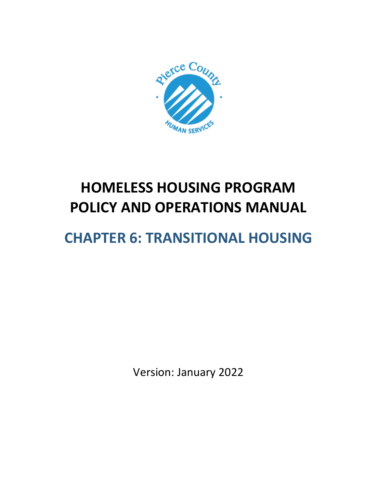

# **HOMELESS HOUSING PROGRAM POLICY AND OPERATIONS MANUAL**

# **CHAPTER 6: TRANSITIONAL HOUSING**

Version: January 2022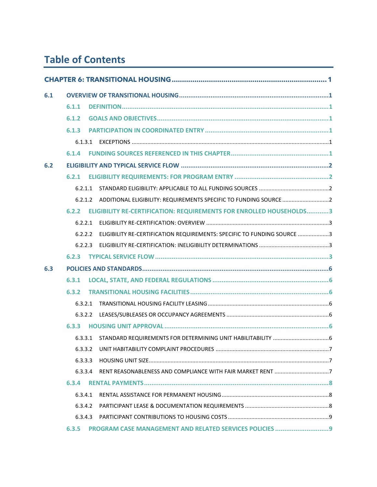# **Table of Contents**

| 6.1 |         |                                                                         |  |
|-----|---------|-------------------------------------------------------------------------|--|
|     | 6.1.1   |                                                                         |  |
|     | 6.1.2   |                                                                         |  |
|     | 6.1.3   |                                                                         |  |
|     |         |                                                                         |  |
|     | 6.1.4   |                                                                         |  |
| 6.2 |         |                                                                         |  |
|     | 6.2.1   |                                                                         |  |
|     | 6.2.1.1 |                                                                         |  |
|     | 6.2.1.2 | ADDITIONAL ELIGIBILITY: REQUIREMENTS SPECIFIC TO FUNDING SOURCE 2       |  |
|     | 6.2.2   | ELIGIBILITY RE-CERTIFICATION: REQUIREMENTS FOR ENROLLED HOUSEHOLDS3     |  |
|     | 6.2.2.1 |                                                                         |  |
|     | 6.2.2.2 | ELIGIBILITY RE-CERTIFICATION REQUIREMENTS: SPECIFIC TO FUNDING SOURCE 3 |  |
|     | 6.2.2.3 |                                                                         |  |
|     | 6.2.3   |                                                                         |  |
| 6.3 |         |                                                                         |  |
|     | 6.3.1   |                                                                         |  |
|     | 6.3.2   |                                                                         |  |
|     | 6.3.2.1 |                                                                         |  |
|     | 6.3.2.2 |                                                                         |  |
|     | 6.3.3   |                                                                         |  |
|     | 6.3.3.1 |                                                                         |  |
|     |         |                                                                         |  |
|     | 6.3.3.3 |                                                                         |  |
|     | 6.3.3.4 |                                                                         |  |
|     | 6.3.4   |                                                                         |  |
|     | 6.3.4.1 |                                                                         |  |
|     | 6.3.4.2 |                                                                         |  |
|     | 6.3.4.3 |                                                                         |  |
|     | 6.3.5   |                                                                         |  |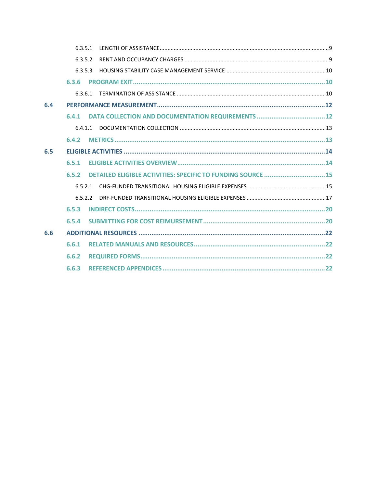|     | 6.3.5.1 |                                                              |  |
|-----|---------|--------------------------------------------------------------|--|
|     | 6352    |                                                              |  |
|     | 6.3.5.3 |                                                              |  |
|     | 6.3.6   |                                                              |  |
|     | 6.3.6.1 |                                                              |  |
| 6.4 |         |                                                              |  |
|     | 6.4.1   |                                                              |  |
|     | 6.4.1.1 |                                                              |  |
|     | 6.4.2   |                                                              |  |
| 6.5 |         |                                                              |  |
|     | 6.5.1   |                                                              |  |
|     | 6.5.2   | DETAILED ELIGIBLE ACTIVITIES: SPECIFIC TO FUNDING SOURCE  15 |  |
|     | 6.5.2.1 |                                                              |  |
|     | 6522    |                                                              |  |
|     | 6.5.3   |                                                              |  |
|     | 6.5.4   |                                                              |  |
| 6.6 |         |                                                              |  |
|     | 6.6.1   |                                                              |  |
|     | 6.6.2   |                                                              |  |
|     | 6.6.3   |                                                              |  |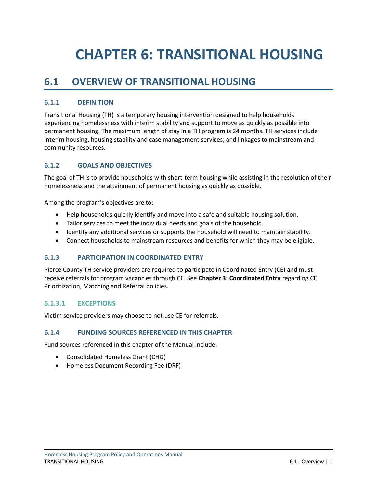# <span id="page-3-0"></span>**CHAPTER 6: TRANSITIONAL HOUSING**

# <span id="page-3-1"></span>**6.1 OVERVIEW OF TRANSITIONAL HOUSING**

# <span id="page-3-2"></span>**6.1.1 DEFINITION**

Transitional Housing (TH) is a temporary housing intervention designed to help households experiencing homelessness with interim stability and support to move as quickly as possible into permanent housing. The maximum length of stay in a TH program is 24 months. TH services include interim housing, housing stability and case management services, and linkages to mainstream and community resources.

## <span id="page-3-3"></span>**6.1.2 GOALS AND OBJECTIVES**

The goal of TH is to provide households with short-term housing while assisting in the resolution of their homelessness and the attainment of permanent housing as quickly as possible.

Among the program's objectives are to:

- Help households quickly identify and move into a safe and suitable housing solution.
- Tailor services to meet the individual needs and goals of the household.
- Identify any additional services or supports the household will need to maintain stability.
- Connect households to mainstream resources and benefits for which they may be eligible.

#### <span id="page-3-4"></span>**6.1.3 PARTICIPATION IN COORDINATED ENTRY**

Pierce County TH service providers are required to participate in Coordinated Entry (CE) and must receive referrals for program vacancies through CE. See **Chapter 3: Coordinated Entry** regarding CE Prioritization, Matching and Referral policies.

#### <span id="page-3-5"></span>**6.1.3.1 EXCEPTIONS**

Victim service providers may choose to not use CE for referrals.

#### <span id="page-3-6"></span>**6.1.4 FUNDING SOURCES REFERENCED IN THIS CHAPTER**

Fund sources referenced in this chapter of the Manual include:

- Consolidated Homeless Grant (CHG)
- Homeless Document Recording Fee (DRF)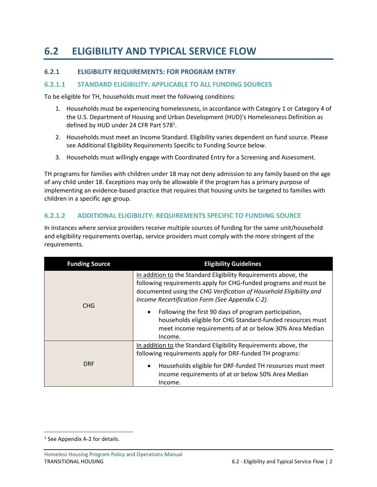# <span id="page-4-0"></span>**6.2 ELIGIBILITY AND TYPICAL SERVICE FLOW**

## <span id="page-4-1"></span>**6.2.1 ELIGIBILITY REQUIREMENTS: FOR PROGRAM ENTRY**

#### <span id="page-4-2"></span>**6.2.1.1 STANDARD ELIGIBILITY: APPLICABLE TO ALL FUNDING SOURCES**

To be eligible for TH, households must meet the following conditions:

- 1. Households must be experiencing homelessness, in accordance with Category 1 or Category 4 of the U.S. Department of Housing and Urban Development (HUD)'s Homelessness Definition as defined by HUD under 24 CFR Part 578<sup>1</sup>.
- 2. Households must meet an Income Standard. Eligibility varies dependent on fund source. Please see Additional Eligibility Requirements Specific to Funding Source below.
- 3. Households must willingly engage with Coordinated Entry for a Screening and Assessment.

TH programs for families with children under 18 may not deny admission to any family based on the age of any child under 18. Exceptions may only be allowable if the program has a primary purpose of implementing an evidence-based practice that requires that housing units be targeted to families with children in a specific age group.

#### <span id="page-4-3"></span>**6.2.1.2 ADDITIONAL ELIGIBILITY: REQUIREMENTS SPECIFIC TO FUNDING SOURCE**

In instances where service providers receive multiple sources of funding for the same unit/household and eligibility requirements overlap, service providers must comply with the more stringent of the requirements.

| <b>Funding Source</b> | <b>Eligibility Guidelines</b>                                                                                                                                                                                                                                |
|-----------------------|--------------------------------------------------------------------------------------------------------------------------------------------------------------------------------------------------------------------------------------------------------------|
| CHG.                  | In addition to the Standard Eligibility Requirements above, the<br>following requirements apply for CHG-funded programs and must be<br>documented using the CHG Verification of Household Eligibility and<br>Income Recertification Form (See Appendix C-2). |
|                       | Following the first 90 days of program participation,<br>households eligible for CHG Standard-funded resources must<br>meet income requirements of at or below 30% Area Median<br>Income.                                                                    |
|                       | In addition to the Standard Eligibility Requirements above, the<br>following requirements apply for DRF-funded TH programs:                                                                                                                                  |
| <b>DRF</b>            | Households eligible for DRF-funded TH resources must meet<br>income requirements of at or below 50% Area Median<br>Income.                                                                                                                                   |

<sup>&</sup>lt;sup>1</sup> See Appendix A-2 for details.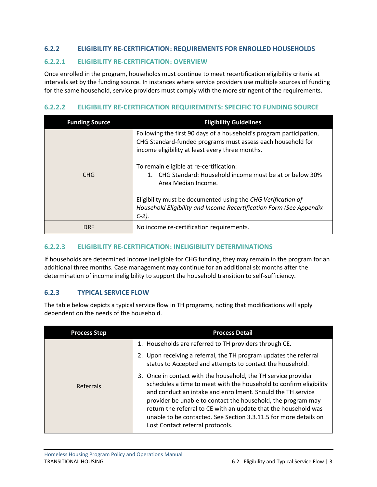## <span id="page-5-0"></span>**6.2.2 ELIGIBILITY RE-CERTIFICATION: REQUIREMENTS FOR ENROLLED HOUSEHOLDS**

#### <span id="page-5-1"></span>**6.2.2.1 ELIGIBILITY RE-CERTIFICATION: OVERVIEW**

Once enrolled in the program, households must continue to meet recertification eligibility criteria at intervals set by the funding source. In instances where service providers use multiple sources of funding for the same household, service providers must comply with the more stringent of the requirements.

### <span id="page-5-2"></span>**6.2.2.2 ELIGIBILITY RE-CERTIFICATION REQUIREMENTS: SPECIFIC TO FUNDING SOURCE**

| <b>Funding Source</b> | <b>Eligibility Guidelines</b>                                                                                                                                                         |
|-----------------------|---------------------------------------------------------------------------------------------------------------------------------------------------------------------------------------|
|                       | Following the first 90 days of a household's program participation,<br>CHG Standard-funded programs must assess each household for<br>income eligibility at least every three months. |
| CHG.                  | To remain eligible at re-certification:<br>1. CHG Standard: Household income must be at or below 30%<br>Area Median Income.                                                           |
|                       | Eligibility must be documented using the CHG Verification of<br>Household Eligibility and Income Recertification Form (See Appendix<br>$C-2$ ).                                       |
| <b>DRF</b>            | No income re-certification requirements.                                                                                                                                              |

# <span id="page-5-3"></span>**6.2.2.3 ELIGIBILITY RE-CERTIFICATION: INELIGIBILITY DETERMINATIONS**

If households are determined income ineligible for CHG funding, they may remain in the program for an additional three months. Case management may continue for an additional six months after the determination of income ineligibility to support the household transition to self-sufficiency.

# <span id="page-5-4"></span>**6.2.3 TYPICAL SERVICE FLOW**

The table below depicts a typical service flow in TH programs, noting that modifications will apply dependent on the needs of the household.

| <b>Process Step</b> | <b>Process Detail</b>                                                                                                                                                                                                                                                                                                                                                                                                                          |
|---------------------|------------------------------------------------------------------------------------------------------------------------------------------------------------------------------------------------------------------------------------------------------------------------------------------------------------------------------------------------------------------------------------------------------------------------------------------------|
|                     | 1. Households are referred to TH providers through CE.                                                                                                                                                                                                                                                                                                                                                                                         |
|                     | 2. Upon receiving a referral, the TH program updates the referral<br>status to Accepted and attempts to contact the household.                                                                                                                                                                                                                                                                                                                 |
| Referrals           | 3. Once in contact with the household, the TH service provider<br>schedules a time to meet with the household to confirm eligibility<br>and conduct an intake and enrollment. Should the TH service<br>provider be unable to contact the household, the program may<br>return the referral to CE with an update that the household was<br>unable to be contacted. See Section 3.3.11.5 for more details on<br>Lost Contact referral protocols. |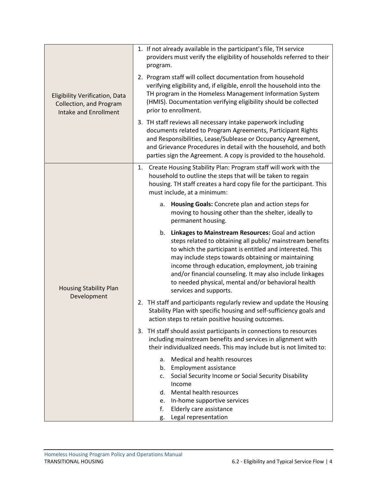|                                                                                                  | 1. If not already available in the participant's file, TH service<br>providers must verify the eligibility of households referred to their<br>program.                                                                                                                                                                                                                                                                                       |
|--------------------------------------------------------------------------------------------------|----------------------------------------------------------------------------------------------------------------------------------------------------------------------------------------------------------------------------------------------------------------------------------------------------------------------------------------------------------------------------------------------------------------------------------------------|
| <b>Eligibility Verification, Data</b><br>Collection, and Program<br><b>Intake and Enrollment</b> | 2. Program staff will collect documentation from household<br>verifying eligibility and, if eligible, enroll the household into the<br>TH program in the Homeless Management Information System<br>(HMIS). Documentation verifying eligibility should be collected<br>prior to enrollment.                                                                                                                                                   |
|                                                                                                  | 3. TH staff reviews all necessary intake paperwork including<br>documents related to Program Agreements, Participant Rights<br>and Responsibilities, Lease/Sublease or Occupancy Agreement,<br>and Grievance Procedures in detail with the household, and both<br>parties sign the Agreement. A copy is provided to the household.                                                                                                           |
|                                                                                                  | Create Housing Stability Plan: Program staff will work with the<br>1.<br>household to outline the steps that will be taken to regain<br>housing. TH staff creates a hard copy file for the participant. This<br>must include, at a minimum:                                                                                                                                                                                                  |
|                                                                                                  | Housing Goals: Concrete plan and action steps for<br>a.<br>moving to housing other than the shelter, ideally to<br>permanent housing.                                                                                                                                                                                                                                                                                                        |
| <b>Housing Stability Plan</b><br>Development                                                     | Linkages to Mainstream Resources: Goal and action<br>b.<br>steps related to obtaining all public/ mainstream benefits<br>to which the participant is entitled and interested. This<br>may include steps towards obtaining or maintaining<br>income through education, employment, job training<br>and/or financial counseling. It may also include linkages<br>to needed physical, mental and/or behavioral health<br>services and supports. |
|                                                                                                  | 2. TH staff and participants regularly review and update the Housing<br>Stability Plan with specific housing and self-sufficiency goals and<br>action steps to retain positive housing outcomes.                                                                                                                                                                                                                                             |
|                                                                                                  | 3. TH staff should assist participants in connections to resources<br>including mainstream benefits and services in alignment with<br>their individualized needs. This may include but is not limited to:                                                                                                                                                                                                                                    |
|                                                                                                  | Medical and health resources<br>a.<br><b>Employment assistance</b><br>b.<br>Social Security Income or Social Security Disability<br>c.<br>Income<br>Mental health resources<br>d.<br>In-home supportive services<br>e.                                                                                                                                                                                                                       |
|                                                                                                  | f.<br>Elderly care assistance<br>Legal representation<br>g.                                                                                                                                                                                                                                                                                                                                                                                  |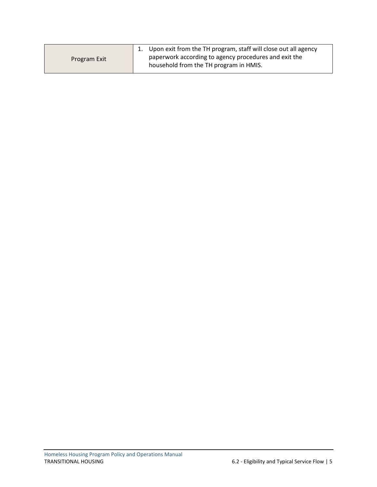|              | 1. Upon exit from the TH program, staff will close out all agency |
|--------------|-------------------------------------------------------------------|
| Program Exit | paperwork according to agency procedures and exit the             |
|              | household from the TH program in HMIS.                            |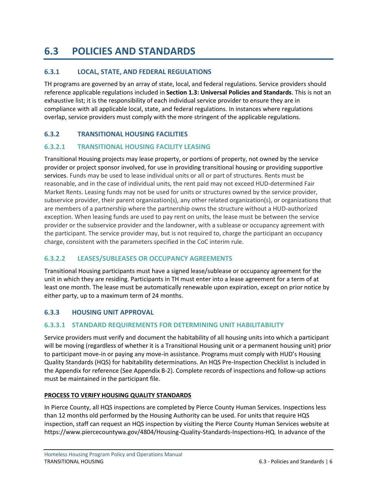# <span id="page-8-0"></span>**6.3 POLICIES AND STANDARDS**

# <span id="page-8-1"></span>**6.3.1 LOCAL, STATE, AND FEDERAL REGULATIONS**

TH programs are governed by an array of state, local, and federal regulations. Service providers should reference applicable regulations included in **Section 1.3: Universal Policies and Standards**. This is not an exhaustive list; it is the responsibility of each individual service provider to ensure they are in compliance with all applicable local, state, and federal regulations. In instances where regulations overlap, service providers must comply with the more stringent of the applicable regulations.

# <span id="page-8-2"></span>**6.3.2 TRANSITIONAL HOUSING FACILITIES**

# <span id="page-8-3"></span>**6.3.2.1 TRANSITIONAL HOUSING FACILITY LEASING**

Transitional Housing projects may lease property, or portions of property, not owned by the service provider or project sponsor involved, for use in providing transitional housing or providing supportive services. Funds may be used to lease individual units or all or part of structures. Rents must be reasonable, and in the case of individual units, the rent paid may not exceed HUD-determined Fair Market Rents. Leasing funds may not be used for units or structures owned by the service provider, subservice provider, their parent organization(s), any other related organization(s), or organizations that are members of a partnership where the partnership owns the structure without a HUD-authorized exception. When leasing funds are used to pay rent on units, the lease must be between the service provider or the subservice provider and the landowner, with a sublease or occupancy agreement with the participant. The service provider may, but is not required to, charge the participant an occupancy charge, consistent with the parameters specified in the CoC interim rule.

# <span id="page-8-4"></span>**6.3.2.2 LEASES/SUBLEASES OR OCCUPANCY AGREEMENTS**

Transitional Housing participants must have a signed lease/sublease or occupancy agreement for the unit in which they are residing. Participants in TH must enter into a lease agreement for a term of at least one month. The lease must be automatically renewable upon expiration, except on prior notice by either party, up to a maximum term of 24 months.

# <span id="page-8-5"></span>**6.3.3 HOUSING UNIT APPROVAL**

# <span id="page-8-6"></span>**6.3.3.1 STANDARD REQUIREMENTS FOR DETERMINING UNIT HABILITABILITY**

Service providers must verify and document the habitability of all housing units into which a participant will be moving (regardless of whether it is a Transitional Housing unit or a permanent housing unit) prior to participant move-in or paying any move-in assistance. Programs must comply with HUD's Housing Quality Standards (HQS) for habitability determinations. An HQS Pre-Inspection Checklist is included in the Appendix for reference (See Appendix B-2). Complete records of inspections and follow-up actions must be maintained in the participant file.

#### **PROCESS TO VERIFY HOUSING QUALITY STANDARDS**

In Pierce County, all HQS inspections are completed by Pierce County Human Services. Inspections less than 12 months old performed by the Housing Authority can be used. For units that require HQS inspection, staff can request an HQS inspection by visiting the Pierce County Human Services website at https://www.piercecountywa.gov/4804/Housing-Quality-Standards-Inspections-HQ. In advance of the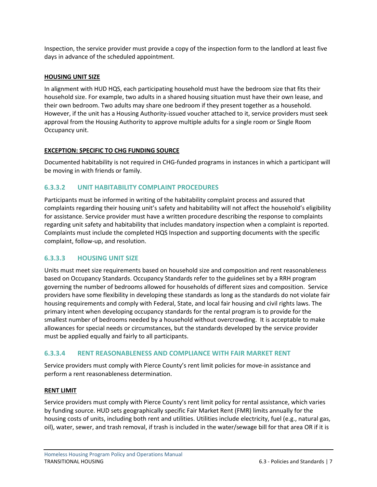Inspection, the service provider must provide a copy of the inspection form to the landlord at least five days in advance of the scheduled appointment.

### **HOUSING UNIT SIZE**

In alignment with HUD HQS, each participating household must have the bedroom size that fits their household size. For example, two adults in a shared housing situation must have their own lease, and their own bedroom. Two adults may share one bedroom if they present together as a household. However, if the unit has a Housing Authority-issued voucher attached to it, service providers must seek approval from the Housing Authority to approve multiple adults for a single room or Single Room Occupancy unit.

## **EXCEPTION: SPECIFIC TO CHG FUNDING SOURCE**

Documented habitability is not required in CHG-funded programs in instances in which a participant will be moving in with friends or family.

# <span id="page-9-0"></span>**6.3.3.2 UNIT HABITABILITY COMPLAINT PROCEDURES**

Participants must be informed in writing of the habitability complaint process and assured that complaints regarding their housing unit's safety and habitability will not affect the household's eligibility for assistance. Service provider must have a written procedure describing the response to complaints regarding unit safety and habitability that includes mandatory inspection when a complaint is reported. Complaints must include the completed HQS Inspection and supporting documents with the specific complaint, follow-up, and resolution.

# <span id="page-9-1"></span>**6.3.3.3 HOUSING UNIT SIZE**

Units must meet size requirements based on household size and composition and rent reasonableness based on Occupancy Standards. Occupancy Standards refer to the guidelines set by a RRH program governing the number of bedrooms allowed for households of different sizes and composition. Service providers have some flexibility in developing these standards as long as the standards do not violate fair housing requirements and comply with Federal, State, and local fair housing and civil rights laws. The primary intent when developing occupancy standards for the rental program is to provide for the smallest number of bedrooms needed by a household without overcrowding. It is acceptable to make allowances for special needs or circumstances, but the standards developed by the service provider must be applied equally and fairly to all participants.

# <span id="page-9-2"></span>**6.3.3.4 RENT REASONABLENESS AND COMPLIANCE WITH FAIR MARKET RENT**

Service providers must comply with Pierce County's rent limit policies for move-in assistance and perform a rent reasonableness determination.

#### **RENT LIMIT**

Service providers must comply with Pierce County's rent limit policy for rental assistance, which varies by funding source. HUD sets geographically specific Fair Market Rent (FMR) limits annually for the housing costs of units, including both rent and utilities. Utilities include electricity, fuel (e.g., natural gas, oil), water, sewer, and trash removal, if trash is included in the water/sewage bill for that area OR if it is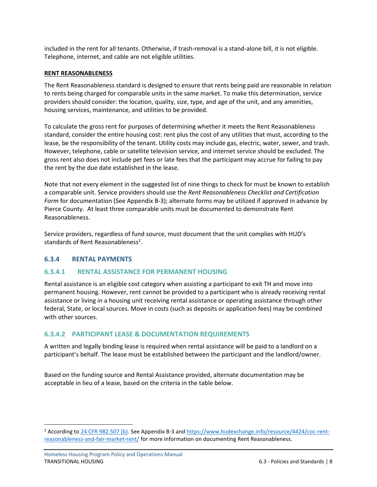included in the rent for all tenants. Otherwise, if trash-removal is a stand-alone bill, it is not eligible. Telephone, internet, and cable are not eligible utilities.

#### **RENT REASONABLENESS**

The Rent Reasonableness standard is designed to ensure that rents being paid are reasonable in relation to rents being charged for comparable units in the same market. To make this determination, service providers should consider: the location, quality, size, type, and age of the unit, and any amenities, housing services, maintenance, and utilities to be provided.

To calculate the gross rent for purposes of determining whether it meets the Rent Reasonableness standard, consider the entire housing cost: rent plus the cost of any utilities that must, according to the lease, be the responsibility of the tenant. Utility costs may include gas, electric, water, sewer, and trash. However, telephone, cable or satellite television service, and internet service should be excluded. The gross rent also does not include pet fees or late fees that the participant may accrue for failing to pay the rent by the due date established in the lease.

Note that not every element in the suggested list of nine things to check for must be known to establish a comparable unit. Service providers should use the *Rent Reasonableness Checklist and Certification Form* for documentation (See Appendix B-3); alternate forms may be utilized if approved in advance by Pierce County. At least three comparable units must be documented to demonstrate Rent Reasonableness.

Service providers, regardless of fund source, must document that the unit complies with HUD's standards of Rent Reasonableness<sup>2</sup>.

# <span id="page-10-0"></span>**6.3.4 RENTAL PAYMENTS**

#### <span id="page-10-1"></span>**6.3.4.1 RENTAL ASSISTANCE FOR PERMANENT HOUSING**

Rental assistance is an eligible cost category when assisting a participant to exit TH and move into permanent housing. However, rent cannot be provided to a participant who is already receiving rental assistance or living in a housing unit receiving rental assistance or operating assistance through other federal, State, or local sources. Move in costs (such as deposits or application fees) may be combined with other sources.

#### <span id="page-10-2"></span>**6.3.4.2 PARTICIPANT LEASE & DOCUMENTATION REQUIREMENTS**

A written and legally binding lease is required when rental assistance will be paid to a landlord on a participant's behalf. The lease must be established between the participant and the landlord/owner.

Based on the funding source and Rental Assistance provided, alternate documentation may be acceptable in lieu of a lease, based on the criteria in the table below.

<sup>&</sup>lt;sup>2</sup> According to [24 CFR 982.507 \(b\).](https://ecfr.federalregister.gov/current/title-24/subtitle-B/chapter-IX/part-982/subpart-K/section-982.507#p-982.507(b)) See Appendix B-3 and [https://www.hudexchange.info/resource/4424/coc-rent](https://www.hudexchange.info/resource/4424/coc-rent-reasonableness-and-fair-market-rent/)[reasonableness-and-fair-market-rent/](https://www.hudexchange.info/resource/4424/coc-rent-reasonableness-and-fair-market-rent/) for more information on documenting Rent Reasonableness.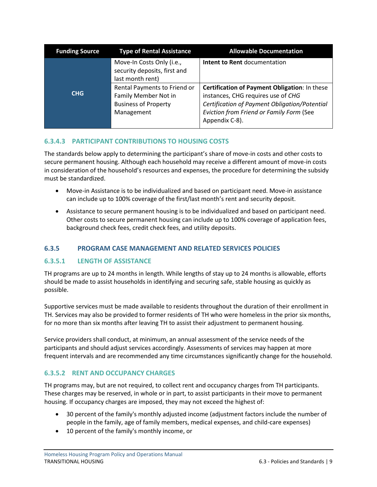| <b>Funding Source</b> | <b>Type of Rental Assistance</b>                                                                  | <b>Allowable Documentation</b>                                                                                                                                                                     |
|-----------------------|---------------------------------------------------------------------------------------------------|----------------------------------------------------------------------------------------------------------------------------------------------------------------------------------------------------|
|                       | Move-In Costs Only (i.e.,<br>security deposits, first and<br>last month rent)                     | Intent to Rent documentation                                                                                                                                                                       |
| <b>CHG</b>            | Rental Payments to Friend or<br>Family Member Not in<br><b>Business of Property</b><br>Management | Certification of Payment Obligation: In these<br>instances, CHG requires use of CHG<br>Certification of Payment Obligation/Potential<br>Eviction from Friend or Family Form (See<br>Appendix C-8). |

# <span id="page-11-0"></span>**6.3.4.3 PARTICIPANT CONTRIBUTIONS TO HOUSING COSTS**

The standards below apply to determining the participant's share of move-in costs and other costs to secure permanent housing. Although each household may receive a different amount of move-in costs in consideration of the household's resources and expenses, the procedure for determining the subsidy must be standardized.

- Move-in Assistance is to be individualized and based on participant need. Move-in assistance can include up to 100% coverage of the first/last month's rent and security deposit.
- Assistance to secure permanent housing is to be individualized and based on participant need. Other costs to secure permanent housing can include up to 100% coverage of application fees, background check fees, credit check fees, and utility deposits.

# <span id="page-11-1"></span>**6.3.5 PROGRAM CASE MANAGEMENT AND RELATED SERVICES POLICIES**

#### <span id="page-11-2"></span>**6.3.5.1 LENGTH OF ASSISTANCE**

TH programs are up to 24 months in length. While lengths of stay up to 24 months is allowable, efforts should be made to assist households in identifying and securing safe, stable housing as quickly as possible.

Supportive services must be made available to residents throughout the duration of their enrollment in TH. Services may also be provided to former residents of TH who were homeless in the prior six months, for no more than six months after leaving TH to assist their adjustment to permanent housing.

Service providers shall conduct, at minimum, an annual assessment of the service needs of the participants and should adjust services accordingly. Assessments of services may happen at more frequent intervals and are recommended any time circumstances significantly change for the household.

# <span id="page-11-3"></span>**6.3.5.2 RENT AND OCCUPANCY CHARGES**

TH programs may, but are not required, to collect rent and occupancy charges from TH participants. These charges may be reserved, in whole or in part, to assist participants in their move to permanent housing. If occupancy charges are imposed, they may not exceed the highest of:

- 30 percent of the family's monthly adjusted income (adjustment factors include the number of people in the family, age of family members, medical expenses, and child-care expenses)
- 10 percent of the family's monthly income, or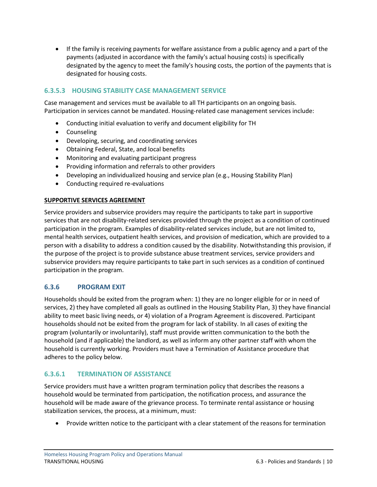• If the family is receiving payments for welfare assistance from a public agency and a part of the payments (adjusted in accordance with the family's actual housing costs) is specifically designated by the agency to meet the family's housing costs, the portion of the payments that is designated for housing costs.

# <span id="page-12-0"></span>**6.3.5.3 HOUSING STABILITY CASE MANAGEMENT SERVICE**

Case management and services must be available to all TH participants on an ongoing basis. Participation in services cannot be mandated. Housing-related case management services include:

- Conducting initial evaluation to verify and document eligibility for TH
- Counseling
- Developing, securing, and coordinating services
- Obtaining Federal, State, and local benefits
- Monitoring and evaluating participant progress
- Providing information and referrals to other providers
- Developing an individualized housing and service plan (e.g., Housing Stability Plan)
- Conducting required re-evaluations

#### **SUPPORTIVE SERVICES AGREEMENT**

Service providers and subservice providers may require the participants to take part in supportive services that are not disability-related services provided through the project as a condition of continued participation in the program. Examples of disability-related services include, but are not limited to, mental health services, outpatient health services, and provision of medication, which are provided to a person with a disability to address a condition caused by the disability. Notwithstanding this provision, if the purpose of the project is to provide substance abuse treatment services, service providers and subservice providers may require participants to take part in such services as a condition of continued participation in the program.

#### <span id="page-12-1"></span>**6.3.6 PROGRAM EXIT**

Households should be exited from the program when: 1) they are no longer eligible for or in need of services, 2) they have completed all goals as outlined in the Housing Stability Plan, 3) they have financial ability to meet basic living needs, or 4) violation of a Program Agreement is discovered. Participant households should not be exited from the program for lack of stability. In all cases of exiting the program (voluntarily or involuntarily), staff must provide written communication to the both the household (and if applicable) the landlord, as well as inform any other partner staff with whom the household is currently working. Providers must have a Termination of Assistance procedure that adheres to the policy below.

# <span id="page-12-2"></span>**6.3.6.1 TERMINATION OF ASSISTANCE**

Service providers must have a written program termination policy that describes the reasons a household would be terminated from participation, the notification process, and assurance the household will be made aware of the grievance process. To terminate rental assistance or housing stabilization services, the process, at a minimum, must:

• Provide written notice to the participant with a clear statement of the reasons for termination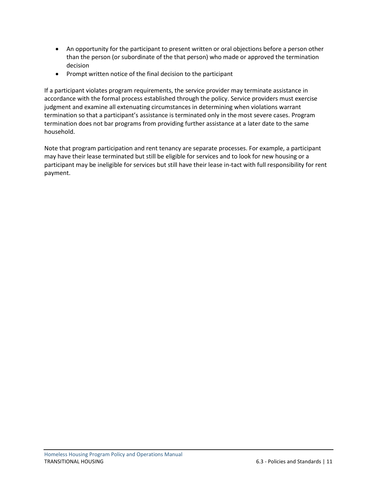- An opportunity for the participant to present written or oral objections before a person other than the person (or subordinate of the that person) who made or approved the termination decision
- Prompt written notice of the final decision to the participant

If a participant violates program requirements, the service provider may terminate assistance in accordance with the formal process established through the policy. Service providers must exercise judgment and examine all extenuating circumstances in determining when violations warrant termination so that a participant's assistance is terminated only in the most severe cases. Program termination does not bar programs from providing further assistance at a later date to the same household.

Note that program participation and rent tenancy are separate processes. For example, a participant may have their lease terminated but still be eligible for services and to look for new housing or a participant may be ineligible for services but still have their lease in-tact with full responsibility for rent payment.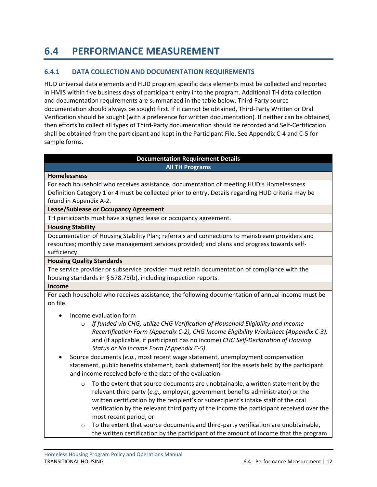# <span id="page-14-0"></span>**6.4 PERFORMANCE MEASUREMENT**

# <span id="page-14-1"></span>**6.4.1 DATA COLLECTION AND DOCUMENTATION REQUIREMENTS**

HUD universal data elements and HUD program specific data elements must be collected and reported in HMIS within five business days of participant entry into the program. Additional TH data collection and documentation requirements are summarized in the table below. Third-Party source documentation should always be sought first. If it cannot be obtained, Third-Party Written or Oral Verification should be sought (with a preference for written documentation). If neither can be obtained, then efforts to collect all types of Third-Party documentation should be recorded and Self-Certification shall be obtained from the participant and kept in the Participant File. See Appendix C-4 and C-5 for sample forms.

#### **Documentation Requirement Details All TH Programs**

#### **Homelessness**

For each household who receives assistance, documentation of meeting HUD's Homelessness Definition Category 1 or 4 must be collected prior to entry. Details regarding HUD criteria may be found in Appendix A-2.

#### **Lease/Sublease or Occupancy Agreement**

TH participants must have a signed lease or occupancy agreement.

#### **Housing Stability**

Documentation of Housing Stability Plan; referrals and connections to mainstream providers and resources; monthly case management services provided; and plans and progress towards selfsufficiency.

#### **Housing Quality Standards**

The service provider or subservice provider must retain documentation of compliance with the housing standards in § 578.75(b), including inspection reports.

#### **Income**

For each household who receives assistance, the following documentation of annual income must be on file.

- Income evaluation form
	- o *If funded via CHG, utilize CHG Verification of Household Eligibility and Income Recertification Form (Appendix C-2), CHG Income Eligibility Worksheet (Appendix C-3),* and (if applicable, if participant has no income) *CHG Self-Declaration of Housing Status or No Income Form (Appendix C-5).*
- Source documents (*e.g.,* most recent wage statement, unemployment compensation statement, public benefits statement, bank statement) for the assets held by the participant and income received before the date of the evaluation.
	- $\circ$  To the extent that source documents are unobtainable, a written statement by the relevant third party (*e.g.,* employer, government benefits administrator) or the written certification by the recipient's or subrecipient's intake staff of the oral verification by the relevant third party of the income the participant received over the most recent period, or
	- $\circ$  To the extent that source documents and third-party verification are unobtainable, the written certification by the participant of the amount of income that the program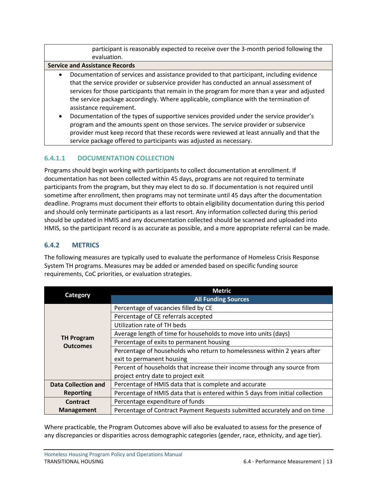participant is reasonably expected to receive over the 3-month period following the evaluation.

#### **Service and Assistance Records**

- Documentation of services and assistance provided to that participant, including evidence that the service provider or subservice provider has conducted an annual assessment of services for those participants that remain in the program for more than a year and adjusted the service package accordingly. Where applicable, compliance with the termination of assistance requirement.
- Documentation of the types of supportive services provided under the service provider's program and the amounts spent on those services. The service provider or subservice provider must keep record that these records were reviewed at least annually and that the service package offered to participants was adjusted as necessary.

#### <span id="page-15-0"></span>**6.4.1.1 DOCUMENTATION COLLECTION**

Programs should begin working with participants to collect documentation at enrollment. If documentation has not been collected within 45 days, programs are not required to terminate participants from the program, but they may elect to do so. If documentation is not required until sometime after enrollment, then programs may not terminate until 45 days after the documentation deadline. Programs must document their efforts to obtain eligibility documentation during this period and should only terminate participants as a last resort. Any information collected during this period should be updated in HMIS and any documentation collected should be scanned and uploaded into HMIS, so the participant record is as accurate as possible, and a more appropriate referral can be made.

# <span id="page-15-1"></span>**6.4.2 METRICS**

The following measures are typically used to evaluate the performance of Homeless Crisis Response System TH programs. Measures may be added or amended based on specific funding source requirements, CoC priorities, or evaluation strategies.

|                            | <b>Metric</b>                                                                 |
|----------------------------|-------------------------------------------------------------------------------|
| Category                   | <b>All Funding Sources</b>                                                    |
|                            | Percentage of vacancies filled by CE                                          |
|                            | Percentage of CE referrals accepted                                           |
|                            | Utilization rate of TH beds                                                   |
| <b>TH Program</b>          | Average length of time for households to move into units (days)               |
| <b>Outcomes</b>            | Percentage of exits to permanent housing                                      |
|                            | Percentage of households who return to homelessness within 2 years after      |
|                            | exit to permanent housing                                                     |
|                            | Percent of households that increase their income through any source from      |
|                            | project entry date to project exit                                            |
| <b>Data Collection and</b> | Percentage of HMIS data that is complete and accurate                         |
| <b>Reporting</b>           | Percentage of HMIS data that is entered within 5 days from initial collection |
| Contract                   | Percentage expenditure of funds                                               |
| <b>Management</b>          | Percentage of Contract Payment Requests submitted accurately and on time      |

Where practicable, the Program Outcomes above will also be evaluated to assess for the presence of any discrepancies or disparities across demographic categories (gender, race, ethnicity, and age tier).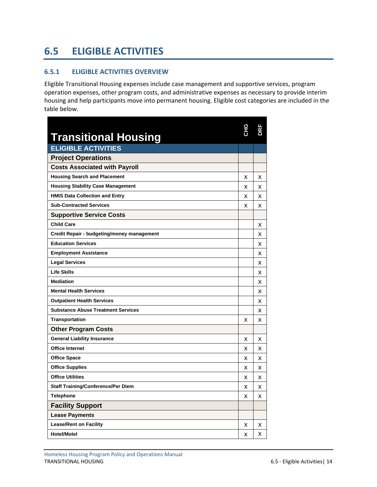# <span id="page-16-0"></span>**6.5 ELIGIBLE ACTIVITIES**

### <span id="page-16-1"></span>**6.5.1 ELIGIBLE ACTIVITIES OVERVIEW**

Eligible Transitional Housing expenses include case management and supportive services, program operation expenses, other program costs, and administrative expenses as necessary to provide interim housing and help participants move into permanent housing. Eligible cost categories are included in the table below.

| <b>Transitional Housing</b>                | CНG | Ş |
|--------------------------------------------|-----|---|
| <b>ELIGIBLE ACTIVITIES</b>                 |     |   |
| <b>Project Operations</b>                  |     |   |
| <b>Costs Associated with Payroll</b>       |     |   |
| <b>Housing Search and Placement</b>        | х   | х |
| <b>Housing Stability Case Management</b>   | x   | x |
| <b>HMIS Data Collection and Entry</b>      | x   | x |
| <b>Sub-Contracted Services</b>             | x   | x |
| <b>Supportive Service Costs</b>            |     |   |
| <b>Child Care</b>                          |     | х |
| Credit Repair - budgeting/money management |     | x |
| <b>Education Services</b>                  |     | x |
| <b>Employment Assistance</b>               |     | x |
| <b>Legal Services</b>                      |     | х |
| <b>Life Skills</b>                         |     | x |
| <b>Mediation</b>                           |     | x |
| <b>Mental Health Services</b>              |     | x |
| <b>Outpatient Health Services</b>          |     | x |
| <b>Substance Abuse Treatment Services</b>  |     | x |
| <b>Transportation</b>                      | x   | x |
| <b>Other Program Costs</b>                 |     |   |
| <b>General Liability Insurance</b>         | х   | х |
| <b>Office Internet</b>                     | x   | х |
| <b>Office Space</b>                        | x   | x |
| <b>Office Supplies</b>                     | х   | х |
| <b>Office Utilities</b>                    | x   | x |
| <b>Staff Training/Conference/Per Diem</b>  | x   | x |
| <b>Telephone</b>                           | x   | x |
| <b>Facility Support</b>                    |     |   |
| <b>Lease Payments</b>                      |     |   |
| <b>Lease/Rent on Facility</b>              | х   | х |
| <b>Hotel/Motel</b>                         | x   | x |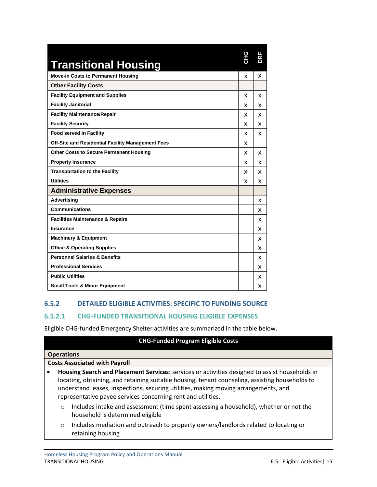| <b>Transitional Housing</b>                       | <b>CHG</b> | ΒĪ |
|---------------------------------------------------|------------|----|
| <b>Move-in Costs to Permanent Housing</b>         | x          | x  |
| <b>Other Facility Costs</b>                       |            |    |
| <b>Facility Equipment and Supplies</b>            | x          | x  |
| <b>Facility Janitorial</b>                        | x          | x  |
| <b>Facility Maintenance/Repair</b>                | x          | x  |
| <b>Facility Security</b>                          | x          | x  |
| <b>Food served in Facility</b>                    | x          | x  |
| Off-Site and Residential Facility Management Fees | x          |    |
| <b>Other Costs to Secure Permanent Housing</b>    | x          | x  |
| <b>Property Insurance</b>                         | x          | x  |
| <b>Transportation to the Facility</b>             | x          | x  |
| <b>Utilities</b>                                  | x          | x  |
| <b>Administrative Expenses</b>                    |            |    |
| <b>Advertising</b>                                |            | x  |
| <b>Communications</b>                             |            | x  |
| <b>Facilities Maintenance &amp; Repairs</b>       |            | x  |
| <b>Insurance</b>                                  |            | x  |
| <b>Machinery &amp; Equipment</b>                  |            | x  |
| <b>Office &amp; Operating Supplies</b>            |            | x  |
| <b>Personnel Salaries &amp; Benefits</b>          |            | x  |
| <b>Professional Services</b>                      |            | x  |
| <b>Public Utilities</b>                           |            | x  |
| <b>Small Tools &amp; Minor Equipment</b>          |            | x  |

# <span id="page-17-0"></span>**6.5.2 DETAILED ELIGIBLE ACTIVITIES: SPECIFIC TO FUNDING SOURCE**

#### <span id="page-17-1"></span>**6.5.2.1 CHG-FUNDED TRANSITIONAL HOUSING ELIGIBLE EXPENSES**

Eligible CHG-funded Emergency Shelter activities are summarized in the table below.

# **CHG-Funded Program Eligible Costs**

|           | <b>Operations</b>                                                                                |  |  |
|-----------|--------------------------------------------------------------------------------------------------|--|--|
|           | <b>Costs Associated with Payroll</b>                                                             |  |  |
| $\bullet$ | Housing Search and Placement Services: services or activities designed to assist households in   |  |  |
|           | locating, obtaining, and retaining suitable housing, tenant counseling, assisting households to  |  |  |
|           | understand leases, inspections, securing utilities, making moving arrangements, and              |  |  |
|           | representative payee services concerning rent and utilities.                                     |  |  |
|           | Includes intake and assessment (time spent assessing a household), whether or not the<br>$\circ$ |  |  |

- household is determined eligible
- o Includes mediation and outreach to property owners/landlords related to locating or retaining housing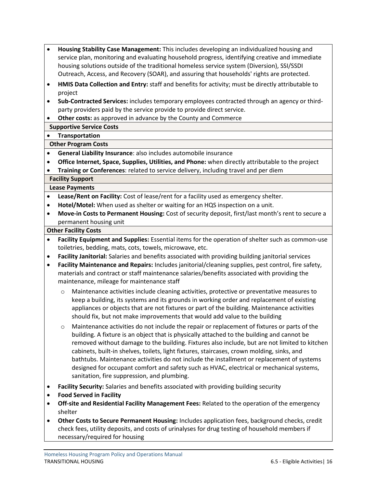- **Housing Stability Case Management:** This includes developing an individualized housing and service plan, monitoring and evaluating household progress, identifying creative and immediate housing solutions outside of the traditional homeless service system (Diversion), SSI/SSDI Outreach, Access, and Recovery (SOAR), and assuring that households' rights are protected.
- **HMIS Data Collection and Entry:** staff and benefits for activity; must be directly attributable to project
- **Sub-Contracted Services:** includes temporary employees contracted through an agency or thirdparty providers paid by the service provide to provide direct service.
- **Other costs:** as approved in advance by the County and Commerce

## **Supportive Service Costs**

• **Transportation**

# **Other Program Costs**

- **General Liability Insurance**: also includes automobile insurance
- **Office Internet, Space, Supplies, Utilities, and Phone:** when directly attributable to the project
- **Training or Conferences**: related to service delivery, including travel and per diem

## **Facility Support**

## **Lease Payments**

- **Lease/Rent on Facility:** Cost of lease/rent for a facility used as emergency shelter.
- **Hotel/Motel:** When used as shelter or waiting for an HQS inspection on a unit.
- **Move-in Costs to Permanent Housing:** Cost of security deposit, first/last month's rent to secure a permanent housing unit

#### **Other Facility Costs**

- **Facility Equipment and Supplies:** Essential items for the operation of shelter such as common-use toiletries, bedding, mats, cots, towels, microwave, etc.
- **Facility Janitorial:** Salaries and benefits associated with providing building janitorial services
- **Facility Maintenance and Repairs:** Includes janitorial/cleaning supplies, pest control, fire safety, materials and contract or staff maintenance salaries/benefits associated with providing the maintenance, mileage for maintenance staff
	- o Maintenance activities include cleaning activities, protective or preventative measures to keep a building, its systems and its grounds in working order and replacement of existing appliances or objects that are not fixtures or part of the building. Maintenance activities should fix, but not make improvements that would add value to the building
	- o Maintenance activities do not include the repair or replacement of fixtures or parts of the building. A fixture is an object that is physically attached to the building and cannot be removed without damage to the building. Fixtures also include, but are not limited to kitchen cabinets, built-in shelves, toilets, light fixtures, staircases, crown molding, sinks, and bathtubs. Maintenance activities do not include the installment or replacement of systems designed for occupant comfort and safety such as HVAC, electrical or mechanical systems, sanitation, fire suppression, and plumbing.
- **Facility Security:** Salaries and benefits associated with providing building security
- **Food Served in Facility**
- **Off-site and Residential Facility Management Fees:** Related to the operation of the emergency shelter
- **Other Costs to Secure Permanent Housing:** Includes application fees, background checks, credit check fees, utility deposits, and costs of urinalyses for drug testing of household members if necessary/required for housing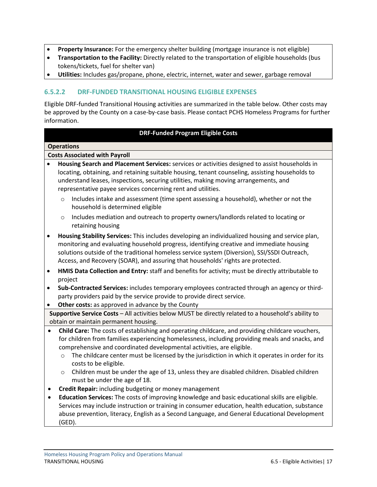- **Property Insurance:** For the emergency shelter building (mortgage insurance is not eligible)
- **Transportation to the Facility:** Directly related to the transportation of eligible households (bus tokens/tickets, fuel for shelter van)
- **Utilities:** Includes gas/propane, phone, electric, internet, water and sewer, garbage removal

## <span id="page-19-0"></span>**6.5.2.2 DRF-FUNDED TRANSITIONAL HOUSING ELIGIBLE EXPENSES**

Eligible DRF-funded Transitional Housing activities are summarized in the table below. Other costs may be approved by the County on a case-by-case basis. Please contact PCHS Homeless Programs for further information.

#### **DRF-Funded Program Eligible Costs**

#### **Operations**

#### **Costs Associated with Payroll**

- **Housing Search and Placement Services:** services or activities designed to assist households in locating, obtaining, and retaining suitable housing, tenant counseling, assisting households to understand leases, inspections, securing utilities, making moving arrangements, and representative payee services concerning rent and utilities.
	- o Includes intake and assessment (time spent assessing a household), whether or not the household is determined eligible
	- o Includes mediation and outreach to property owners/landlords related to locating or retaining housing
- **Housing Stability Services:** This includes developing an individualized housing and service plan, monitoring and evaluating household progress, identifying creative and immediate housing solutions outside of the traditional homeless service system (Diversion), SSI/SSDI Outreach, Access, and Recovery (SOAR), and assuring that households' rights are protected.
- **HMIS Data Collection and Entry:** staff and benefits for activity; must be directly attributable to project
- **Sub-Contracted Services:** includes temporary employees contracted through an agency or thirdparty providers paid by the service provide to provide direct service.
- **Other costs:** as approved in advance by the County

**Supportive Service Costs** – All activities below MUST be directly related to a household's ability to obtain or maintain permanent housing.

- **Child Care:** The costs of establishing and operating childcare, and providing childcare vouchers, for children from families experiencing homelessness, including providing meals and snacks, and comprehensive and coordinated developmental activities, are eligible.
	- $\circ$  The childcare center must be licensed by the jurisdiction in which it operates in order for its costs to be eligible.
	- o Children must be under the age of 13, unless they are disabled children. Disabled children must be under the age of 18.
- **Credit Repair:** including budgeting or money management
- **Education Services:** The costs of improving knowledge and basic educational skills are eligible. Services may include instruction or training in consumer education, health education, substance abuse prevention, literacy, English as a Second Language, and General Educational Development (GED).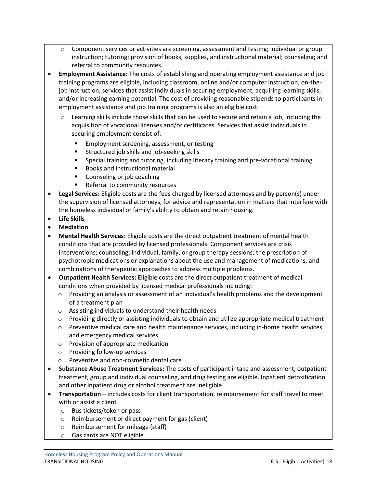- o Component services or activities are screening, assessment and testing; individual or group instruction; tutoring; provision of books, supplies, and instructional material; counseling; and referral to community resources.
- **Employment Assistance:** The costs of establishing and operating employment assistance and job training programs are eligible, including classroom, online and/or computer instruction, on-thejob instruction, services that assist individuals in securing employment, acquiring learning skills, and/or increasing earning potential. The cost of providing reasonable stipends to participants in employment assistance and job training programs is also an eligible cost.
	- o Learning skills include those skills that can be used to secure and retain a job, including the acquisition of vocational licenses and/or certificates. Services that assist individuals in securing employment consist of:
		- Employment screening, assessment, or testing
		- Structured job skills and job-seeking skills
		- Special training and tutoring, including literacy training and pre-vocational training
		- Books and instructional material
		- Counseling or job coaching
		- Referral to community resources
- **Legal Services:** Eligible costs are the fees charged by licensed attorneys and by person(s) under the supervision of licensed attorneys, for advice and representation in matters that interfere with the homeless individual or family's ability to obtain and retain housing.
- **Life Skills**
- **Mediation**
- **Mental Health Services:** Eligible costs are the direct outpatient treatment of mental health conditions that are provided by licensed professionals. Component services are crisis interventions; counseling; individual, family, or group therapy sessions; the prescription of psychotropic medications or explanations about the use and management of medications; and combinations of therapeutic approaches to address multiple problems.
- **Outpatient Health Services:** Eligible costs are the direct outpatient treatment of medical conditions when provided by licensed medical professionals including:
	- $\circ$  Providing an analysis or assessment of an individual's health problems and the development of a treatment plan
	- o Assisting individuals to understand their health needs
	- $\circ$  Providing directly or assisting individuals to obtain and utilize appropriate medical treatment
	- o Preventive medical care and health maintenance services, including in-home health services and emergency medical services
	- o Provision of appropriate medication
	- o Providing follow-up services
	- o Preventive and non-cosmetic dental care
- **Substance Abuse Treatment Services:** The costs of participant intake and assessment, outpatient treatment, group and individual counseling, and drug testing are eligible. Inpatient detoxification and other inpatient drug or alcohol treatment are ineligible.
- **Transportation** includes costs for client transportation, reimbursement for staff travel to meet with or assist a client
	- o Bus tickets/token or pass
	- o Reimbursement or direct payment for gas (client)
	- o Reimbursement for mileage (staff)
	- o Gas cards are NOT eligible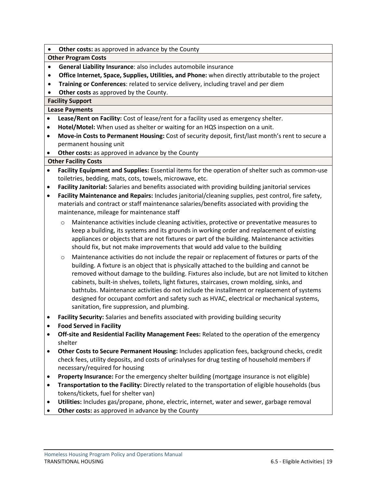**Other costs:** as approved in advance by the County

#### **Other Program Costs**

- **General Liability Insurance**: also includes automobile insurance
- **Office Internet, Space, Supplies, Utilities, and Phone:** when directly attributable to the project
- **Training or Conferences**: related to service delivery, including travel and per diem
- **Other costs** as approved by the County.

# **Facility Support**

#### **Lease Payments**

- **Lease/Rent on Facility:** Cost of lease/rent for a facility used as emergency shelter.
- **Hotel/Motel:** When used as shelter or waiting for an HQS inspection on a unit.
- **Move-in Costs to Permanent Housing:** Cost of security deposit, first/last month's rent to secure a permanent housing unit
- **Other costs:** as approved in advance by the County

#### **Other Facility Costs**

- **Facility Equipment and Supplies:** Essential items for the operation of shelter such as common-use toiletries, bedding, mats, cots, towels, microwave, etc.
- **Facility Janitorial:** Salaries and benefits associated with providing building janitorial services
- **Facility Maintenance and Repairs:** Includes janitorial/cleaning supplies, pest control, fire safety, materials and contract or staff maintenance salaries/benefits associated with providing the maintenance, mileage for maintenance staff
	- o Maintenance activities include cleaning activities, protective or preventative measures to keep a building, its systems and its grounds in working order and replacement of existing appliances or objects that are not fixtures or part of the building. Maintenance activities should fix, but not make improvements that would add value to the building
	- o Maintenance activities do not include the repair or replacement of fixtures or parts of the building. A fixture is an object that is physically attached to the building and cannot be removed without damage to the building. Fixtures also include, but are not limited to kitchen cabinets, built-in shelves, toilets, light fixtures, staircases, crown molding, sinks, and bathtubs. Maintenance activities do not include the installment or replacement of systems designed for occupant comfort and safety such as HVAC, electrical or mechanical systems, sanitation, fire suppression, and plumbing.
- **Facility Security:** Salaries and benefits associated with providing building security
- **Food Served in Facility**
- **Off-site and Residential Facility Management Fees:** Related to the operation of the emergency shelter
- **Other Costs to Secure Permanent Housing:** Includes application fees, background checks, credit check fees, utility deposits, and costs of urinalyses for drug testing of household members if necessary/required for housing
- **Property Insurance:** For the emergency shelter building (mortgage insurance is not eligible)
- **Transportation to the Facility:** Directly related to the transportation of eligible households (bus tokens/tickets, fuel for shelter van)
- **Utilities:** Includes gas/propane, phone, electric, internet, water and sewer, garbage removal
- **Other costs:** as approved in advance by the County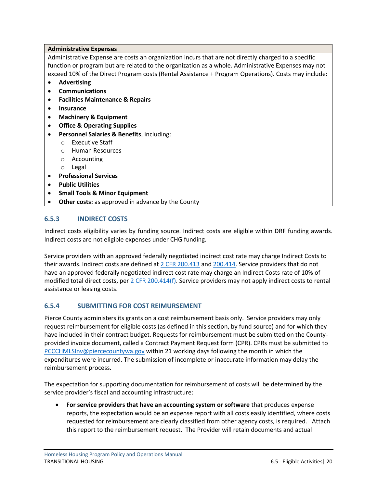#### **Administrative Expenses**

Administrative Expense are costs an organization incurs that are not directly charged to a specific function or program but are related to the organization as a whole. Administrative Expenses may not exceed 10% of the Direct Program costs (Rental Assistance + Program Operations). Costs may include:

- **Advertising**
- **Communications**
- **Facilities Maintenance & Repairs**
- **Insurance**
- **Machinery & Equipment**
- **Office & Operating Supplies**
- **Personnel Salaries & Benefits**, including:
	- o Executive Staff
	- o Human Resources
	- o Accounting
	- o Legal
- **Professional Services**
- **Public Utilities**
- **Small Tools & Minor Equipment**
- **Other costs:** as approved in advance by the County

#### <span id="page-22-0"></span>**6.5.3 INDIRECT COSTS**

Indirect costs eligibility varies by funding source. Indirect costs are eligible within DRF funding awards. Indirect costs are not eligible expenses under CHG funding.

Service providers with an approved federally negotiated indirect cost rate may charge Indirect Costs to their awards. Indirect costs are defined a[t 2 CFR 200.413](https://www.ecfr.gov/current/title-2/subtitle-A/chapter-II/part-200/subpart-E/subject-group-ECFRd93f2a98b1f6455/section-200.413) and [200.414.](https://www.ecfr.gov/current/title-2/subtitle-A/chapter-II/part-200/subpart-E/subject-group-ECFRd93f2a98b1f6455/section-200.414) Service providers that do not have an approved federally negotiated indirect cost rate may charge an Indirect Costs rate of 10% of modified total direct costs, per [2 CFR 200.414\(f\).](https://www.ecfr.gov/current/title-2/subtitle-A/chapter-II/part-200/subpart-E/subject-group-ECFRd93f2a98b1f6455/section-200.414#p-200.414(f)) Service providers may not apply indirect costs to rental assistance or leasing costs.

#### <span id="page-22-1"></span>**6.5.4 SUBMITTING FOR COST REIMURSEMENT**

Pierce County administers its grants on a cost reimbursement basis only. Service providers may only request reimbursement for eligible costs (as defined in this section, by fund source) and for which they have included in their contract budget. Requests for reimbursement must be submitted on the Countyprovided invoice document, called a Contract Payment Request form (CPR). CPRs must be submitted to [PCCCHMLSInv@piercecountywa.gov](mailto:PCCCHMLSInv@piercecountywa.gov) within 21 working days following the month in which the expenditures were incurred. The submission of incomplete or inaccurate information may delay the reimbursement process.

The expectation for supporting documentation for reimbursement of costs will be determined by the service provider's fiscal and accounting infrastructure:

• **For service providers that have an accounting system or software** that produces expense reports, the expectation would be an expense report with all costs easily identified, where costs requested for reimbursement are clearly classified from other agency costs, is required. Attach this report to the reimbursement request. The Provider will retain documents and actual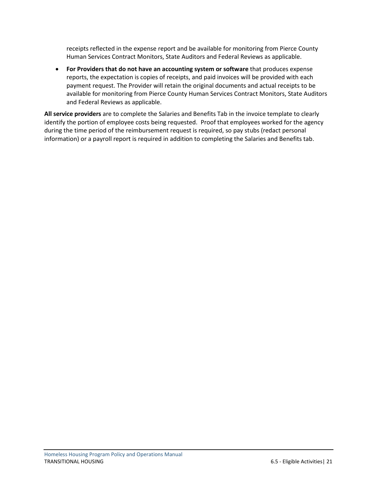receipts reflected in the expense report and be available for monitoring from Pierce County Human Services Contract Monitors, State Auditors and Federal Reviews as applicable.

• **For Providers that do not have an accounting system or software** that produces expense reports, the expectation is copies of receipts, and paid invoices will be provided with each payment request. The Provider will retain the original documents and actual receipts to be available for monitoring from Pierce County Human Services Contract Monitors, State Auditors and Federal Reviews as applicable.

**All service providers** are to complete the Salaries and Benefits Tab in the invoice template to clearly identify the portion of employee costs being requested. Proof that employees worked for the agency during the time period of the reimbursement request is required, so pay stubs (redact personal information) or a payroll report is required in addition to completing the Salaries and Benefits tab.